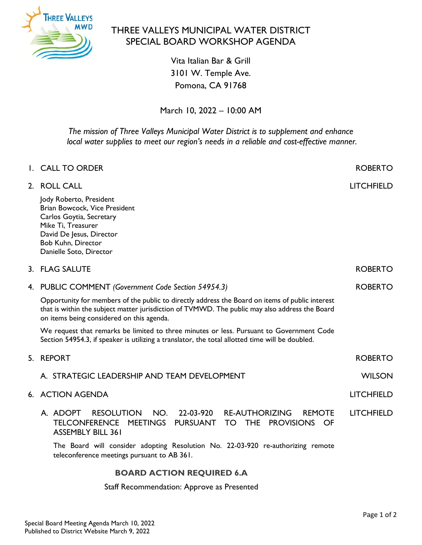

## THREE VALLEYS MUNICIPAL WATER DISTRICT SPECIAL BOARD WORKSHOP AGENDA

Vita Italian Bar & Grill 3101 W. Temple Ave. Pomona, CA 91768

March 10, 2022 – 10:00 AM

*The mission of Three Valleys Municipal Water District is to supplement and enhance local water supplies to meet our region's needs in a reliable and cost-effective manner.*

|    | I. CALL TO ORDER                                                                                                                                                                                                                               | <b>ROBERTO</b>    |
|----|------------------------------------------------------------------------------------------------------------------------------------------------------------------------------------------------------------------------------------------------|-------------------|
| 2. | <b>ROLL CALL</b>                                                                                                                                                                                                                               | <b>LITCHFIELD</b> |
|    | Jody Roberto, President<br>Brian Bowcock, Vice President<br>Carlos Goytia, Secretary<br>Mike Ti, Treasurer<br>David De Jesus, Director<br>Bob Kuhn, Director<br>Danielle Soto, Director                                                        |                   |
|    | 3. FLAG SALUTE                                                                                                                                                                                                                                 | <b>ROBERTO</b>    |
|    | 4. PUBLIC COMMENT (Government Code Section 54954.3)                                                                                                                                                                                            | <b>ROBERTO</b>    |
|    | Opportunity for members of the public to directly address the Board on items of public interest<br>that is within the subject matter jurisdiction of TVMWD. The public may also address the Board<br>on items being considered on this agenda. |                   |
|    | We request that remarks be limited to three minutes or less. Pursuant to Government Code<br>Section 54954.3, if speaker is utilizing a translator, the total allotted time will be doubled.                                                    |                   |
| 5. | <b>REPORT</b>                                                                                                                                                                                                                                  | <b>ROBERTO</b>    |
|    | A. STRATEGIC LEADERSHIP AND TEAM DEVELOPMENT                                                                                                                                                                                                   | <b>WILSON</b>     |
|    | 6. ACTION AGENDA                                                                                                                                                                                                                               | <b>LITCHFIELD</b> |
|    | <b>RESOLUTION</b><br>22-03-920<br><b>RE-AUTHORIZING</b><br>A. ADOPT<br>NO.<br><b>REMOTE</b><br>TELCONFERENCE MEETINGS PURSUANT<br>TO THE PROVISIONS OF<br><b>ASSEMBLY BILL 361</b>                                                             | <b>LITCHFIELD</b> |
|    | The Board will consider adopting Resolution No. 22-03-920 re-authorizing remote<br>teleconference meetings pursuant to AB 361.                                                                                                                 |                   |
|    | <b>BOARD ACTION REQUIRED 6.A</b>                                                                                                                                                                                                               |                   |

Staff Recommendation: Approve as Presented